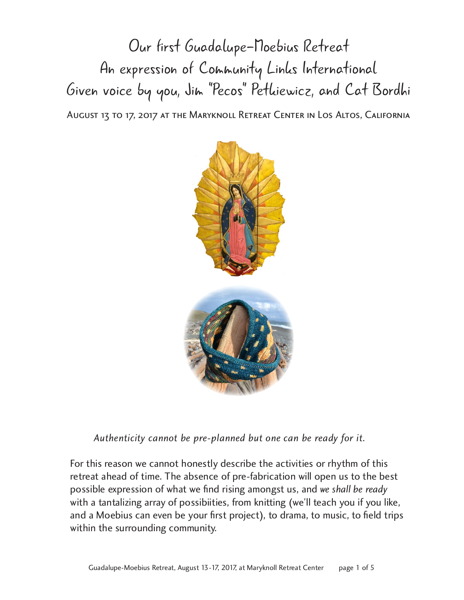Our first Guadalupe-Moebius Retreat An expression of Community Links International Given voice by you, Jim "Pecos" Petkiewicz, and Cat Bordhi August 13 to 17, 2017 at the Maryknoll Retreat Center in Los Altos, California



 *Authenticity cannot be pre-planned but one can be ready for it.*

For this reason we cannot honestly describe the activities or rhythm of this retreat ahead of time. The absence of pre-fabrication will open us to the best possible expression of what we find rising amongst us, and we shall be ready possible expression of what we find rising amongst us, and *we shall be ready*  with a tantalizing array of possibilities, from knitting (we'll teach you if you like, and a Moebius can even be your first project), to drama, to music, to field trips within the surrounding community.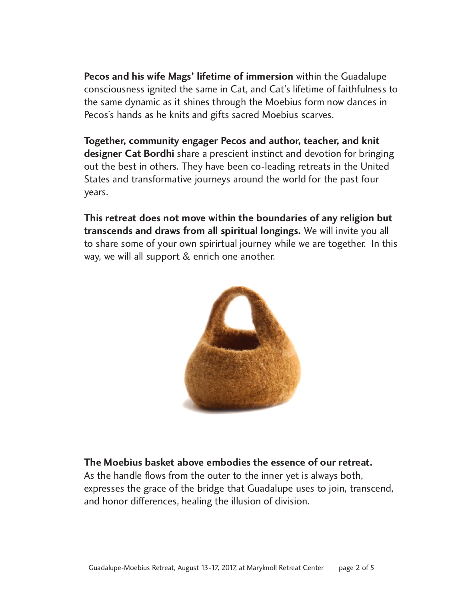**Pecos and his wife Mags' lifetime of immersion** within the Guadalupe consciousness ignited the same in Cat, and Cat's lifetime of faithfulness to the same dynamic as it shines through the Moebius form now dances in the same dynamic as it shines through the Moebius form now dances in Pecos's hands as he knits and gifts sacred Moebius scarves.

**Together, community engager Pecos and author, teacher, and knit**  out the best in others. They have been co-leading retreats in the United out the best in others. They have been co-leading retreats in the United States and transformative journeys around the world for the past four years.

**This retreat does not move within the boundaries of any religion but transcends and draws from all spiritual longings.** We will invite you all to share some of your own spirirtual journey while we are together. In this way, we will all support & enrich one another.



## **The Moebius basket above embodies the essence of our retreat.**<br>As the handle flows from the outer to the inner yet is always both,

expresses the grace of the bridge that Guadalupe uses to join, transcend, expresses the grace of the bridge that Guadalupe uses to join, transcend, and honor differences, healing the illusion of division.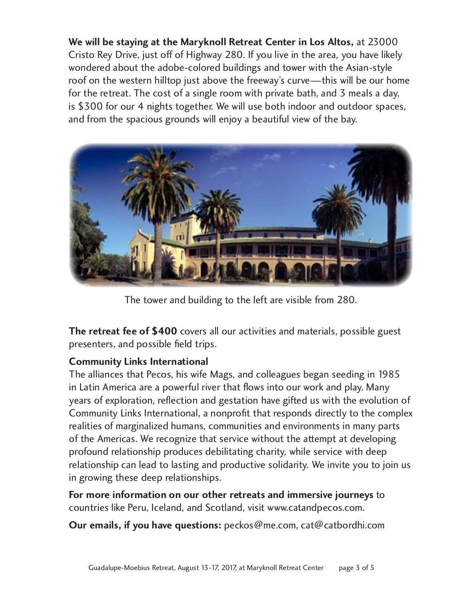**We will be staying at the Maryknoll Retreat Center in Los Altos,** at 23000 wondered about the adobe-colored buildings and tower with the Asian-style roof on the western hilltop just above the freeway's curve—this will be our home for the retreat. The cost of a single room with private bath, and 3 meals a day, is \$300 for our 4 nights together. We will use both indoor and outdoor spaces, is \$300 for our 4 nights together. We will use both indoor and outdoor spaces, and from the spacious grounds will enjoy a beautiful view of the bay.



The tower and building to the left are visible from 280.

**The retreat fee of \$400** covers all our activities and materials, possible guest presenters, and possible field trips.

**Community Links International** in Latin America are a powerful river that flows into our work and play. Many years of exploration, reflection and gestation have gifted us with the evolution of Community Links International, a nonprofit that responds directly to the complex realities of marginalized humans, communities and environments in many parts of the Americas. We recognize that service without the attempt at developing profound relationship produces debilitating charity, while service with deep profound relationship produces debilitating charity, while service with deep relationship can lead to lasting and productive solidarity. We invite you to join us in growing these deep relationships.

**For more information on our other retreats and immersive journeys** to countries like Peru, Iceland, and Scotland, visit www.catandpecos.com.

**Our emails, if you have questions:** peckos@me.com, cat@catbordhi.com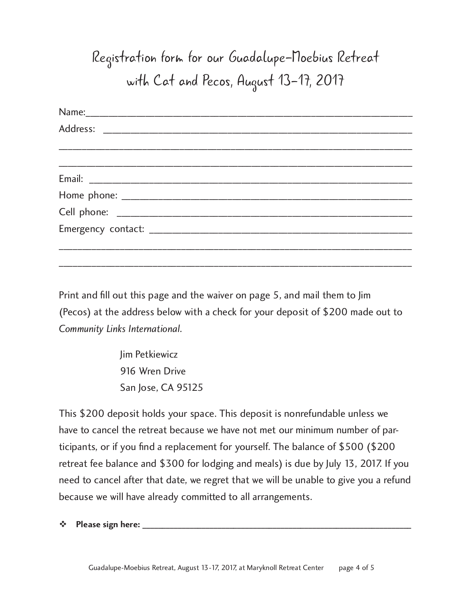## Registration form for our Guadalupe-Moebius Retreat with Cat and Pecos, August 13-17, 2017

Print and fill out this page and the waiver on page 5, and mail them to Jim (Pecos) at the address below with a check for your deposit of \$200 made out to *Community Links International.*

\_\_\_\_\_\_\_\_\_\_\_\_\_\_\_\_\_\_\_\_\_\_\_\_\_\_\_\_\_\_\_\_\_\_\_\_\_\_\_\_\_\_\_\_\_\_\_\_\_\_\_\_\_\_\_\_\_\_\_\_\_\_\_\_\_\_\_\_\_\_\_\_\_\_\_

Jim Petkiewicz 916 Wren Drive San Jose, CA 95125

This \$200 deposit holds your space. This deposit is nonrefundable unless we have to cancel the retreat because we have not met our minimum number of participants, or if you find a replacement for yourself. The balance of \$500 (\$200 retreat fee balance and \$300 for lodging and meals) is due by July 13, 2017. If you need to cancel after that date, we regret that we will be unable to give you a refund because we will have already committed to all arrangements.

 $\div$  Please sign here: